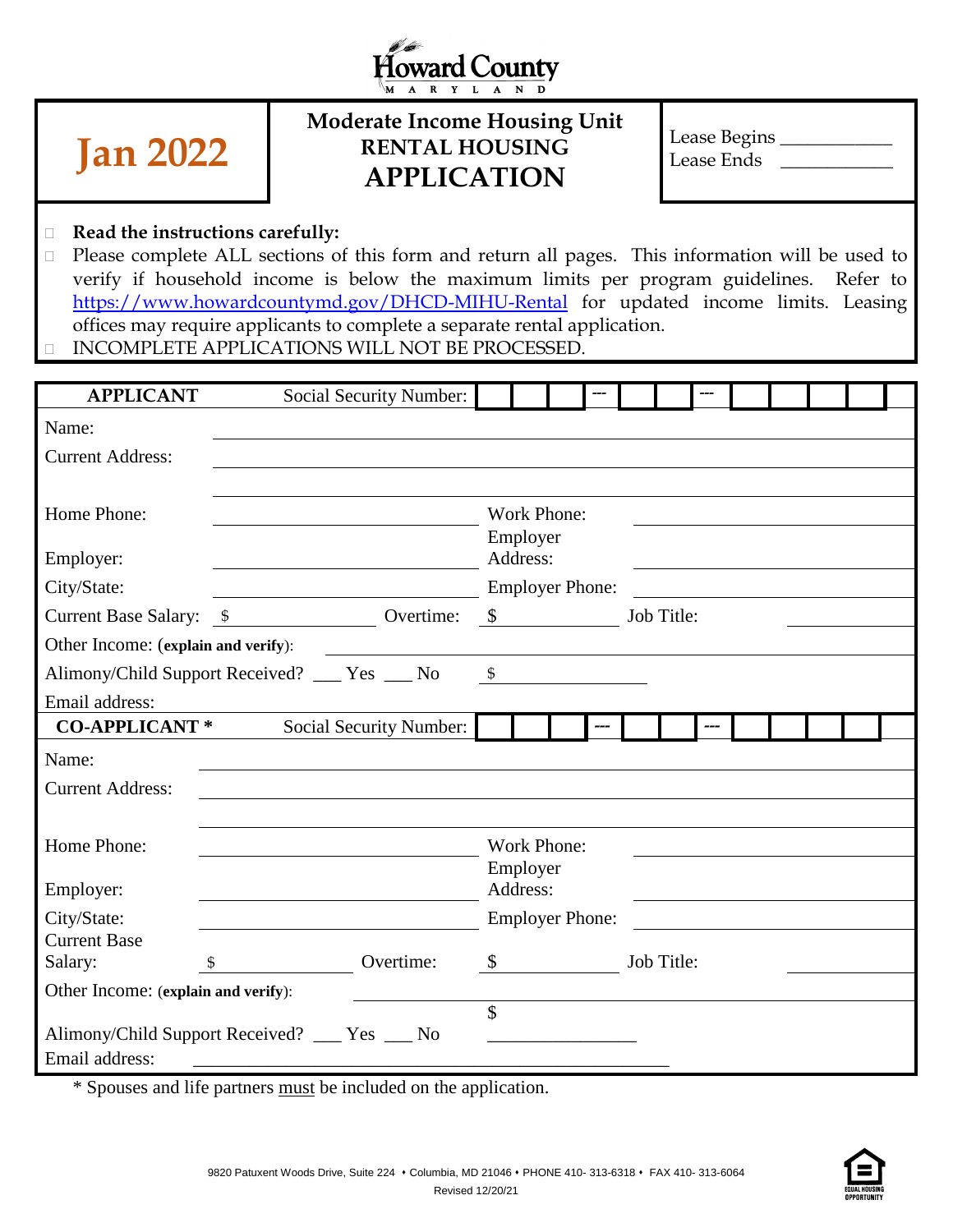



# **Moderate Income Housing Unit RENTAL HOUSING APPLICATION**

| Lease Begins |  |
|--------------|--|
| Lease Ends   |  |

#### **Read the instructions carefully:**

□ Please complete ALL sections of this form and return all pages. This information will be used to verify if household income is below the maximum limits per program guidelines. Refer to <https://www.howardcountymd.gov/DHCD-MIHU-Rental> for updated income limits. Leasing offices may require applicants to complete a separate rental application.

INCOMPLETE APPLICATIONS WILL NOT BE PROCESSED.

| <b>APPLICANT</b>                    | <b>Social Security Number:</b>                     |           |                           |            |  |  |  |
|-------------------------------------|----------------------------------------------------|-----------|---------------------------|------------|--|--|--|
| Name:                               |                                                    |           |                           |            |  |  |  |
| <b>Current Address:</b>             |                                                    |           |                           |            |  |  |  |
|                                     |                                                    |           |                           |            |  |  |  |
| Home Phone:                         |                                                    |           | Work Phone:               |            |  |  |  |
|                                     |                                                    |           | Employer<br>Address:      |            |  |  |  |
| Employer:                           |                                                    |           |                           |            |  |  |  |
| City/State:                         |                                                    |           | <b>Employer Phone:</b>    |            |  |  |  |
|                                     | Current Base Salary: <u>\$</u> Overtime: <u>\$</u> |           |                           | Job Title: |  |  |  |
| Other Income: (explain and verify): |                                                    |           |                           |            |  |  |  |
|                                     | Alimony/Child Support Received? ___ Yes ___ No \$  |           |                           |            |  |  |  |
| Email address:                      |                                                    |           |                           |            |  |  |  |
| <b>CO-APPLICANT*</b>                | Social Security Number:                            |           |                           |            |  |  |  |
| Name:                               |                                                    |           |                           |            |  |  |  |
| <b>Current Address:</b>             |                                                    |           |                           |            |  |  |  |
|                                     |                                                    |           |                           |            |  |  |  |
| Home Phone:                         |                                                    |           | Work Phone:               |            |  |  |  |
|                                     |                                                    |           | Employer                  |            |  |  |  |
| Employer:                           |                                                    |           | Address:                  |            |  |  |  |
| City/State:                         |                                                    |           | <b>Employer Phone:</b>    |            |  |  |  |
| <b>Current Base</b>                 |                                                    |           |                           |            |  |  |  |
| Salary:                             | $\mathfrak{S}$                                     | Overtime: | $\boldsymbol{\mathsf{S}}$ | Job Title: |  |  |  |
| Other Income: (explain and verify): |                                                    |           | $\overline{\mathcal{S}}$  |            |  |  |  |
|                                     | Alimony/Child Support Received? ___ Yes __ No      |           |                           |            |  |  |  |
| Email address:                      |                                                    |           |                           |            |  |  |  |
|                                     |                                                    |           |                           |            |  |  |  |

\* Spouses and life partners must be included on the application.

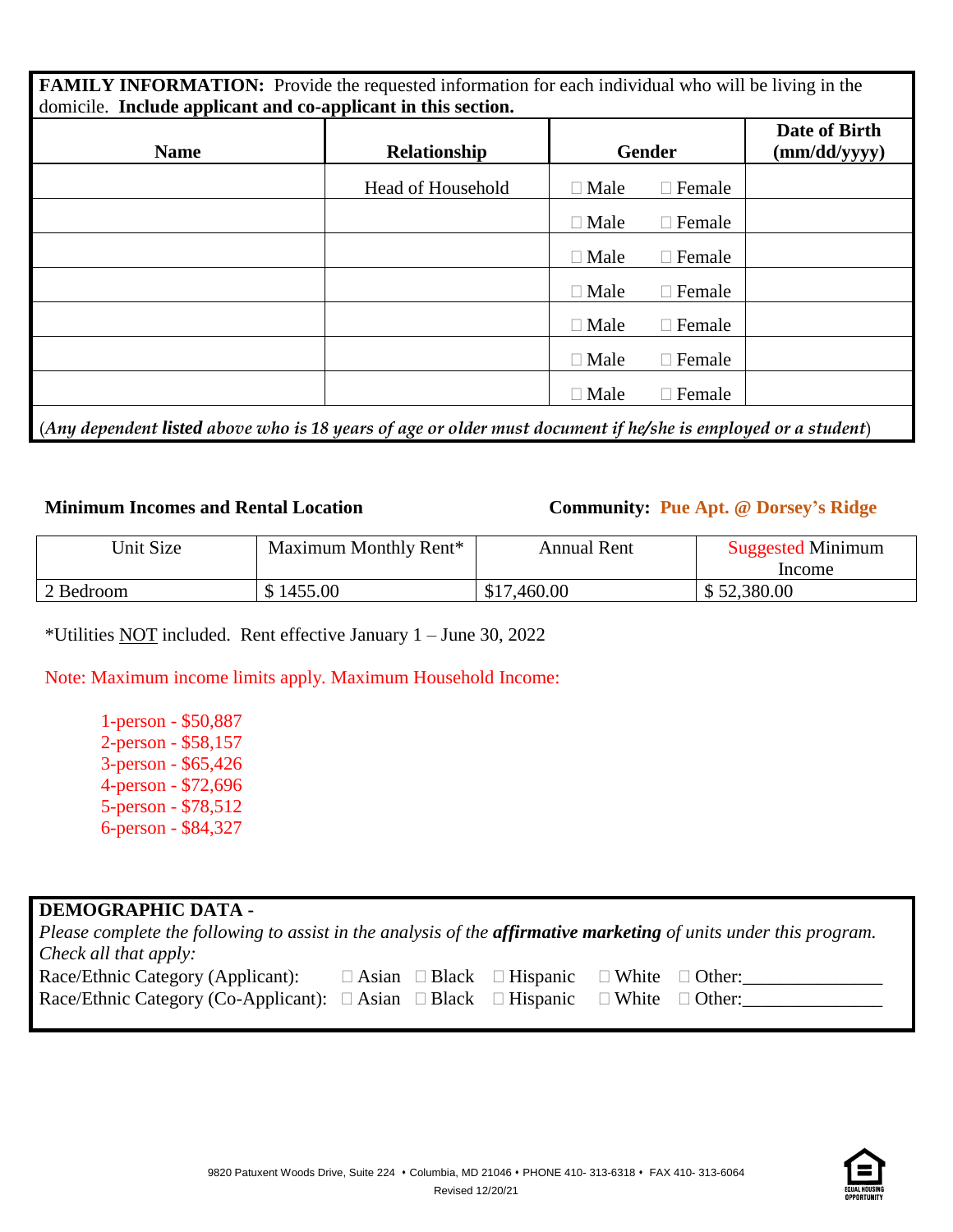| FAMILY INFORMATION: Provide the requested information for each individual who will be living in the<br>domicile. Include applicant and co-applicant in this section. |                   |             |               |                               |
|----------------------------------------------------------------------------------------------------------------------------------------------------------------------|-------------------|-------------|---------------|-------------------------------|
| <b>Name</b>                                                                                                                                                          | Relationship      |             | <b>Gender</b> | Date of Birth<br>(mm/dd/yyyy) |
|                                                                                                                                                                      | Head of Household | $\Box$ Male | $\Box$ Female |                               |
|                                                                                                                                                                      |                   | $\Box$ Male | $\Box$ Female |                               |
|                                                                                                                                                                      |                   | $\Box$ Male | $\Box$ Female |                               |
|                                                                                                                                                                      |                   | $\Box$ Male | $\Box$ Female |                               |
|                                                                                                                                                                      |                   | $\Box$ Male | $\Box$ Female |                               |
|                                                                                                                                                                      |                   | $\Box$ Male | $\Box$ Female |                               |
|                                                                                                                                                                      |                   | $\Box$ Male | $\Box$ Female |                               |
|                                                                                                                                                                      |                   |             |               |                               |

(*Any dependent listed above who is 18 years of age or older must document if he/she is employed or a student*)

### **Minimum Incomes and Rental Location Community: Pue Apt. @ Dorsey's Ridge**

| Unit Size | Maximum Monthly Rent* | Annual Rent | <b>Suggested Minimum</b> |
|-----------|-----------------------|-------------|--------------------------|
|           |                       |             | Income                   |
| 2 Bedroom | \$1455.00             | \$17,460.00 | \$52,380.00              |

\*Utilities NOT included. Rent effective January 1 – June 30, 2022

Note: Maximum income limits apply. Maximum Household Income:

1-person - \$50,887 2-person - \$58,157 3-person - \$65,426 4-person - \$72,696 5-person - \$78,512 6-person - \$84,327

#### **DEMOGRAPHIC DATA -**

| Please complete the following to assist in the analysis of the <b>affirmative marketing</b> of units under this program. |  |                                           |                            |               |
|--------------------------------------------------------------------------------------------------------------------------|--|-------------------------------------------|----------------------------|---------------|
| Check all that apply:                                                                                                    |  |                                           |                            |               |
| Race/Ethnic Category (Applicant):                                                                                        |  | $\Box$ Asian $\Box$ Black $\Box$ Hispanic | $\Box$ White $\Box$ Other: |               |
| Race/Ethnic Category (Co-Applicant): $\Box$ Asian $\Box$ Black $\Box$ Hispanic                                           |  |                                           | $\Box$ White               | $\Box$ Other: |

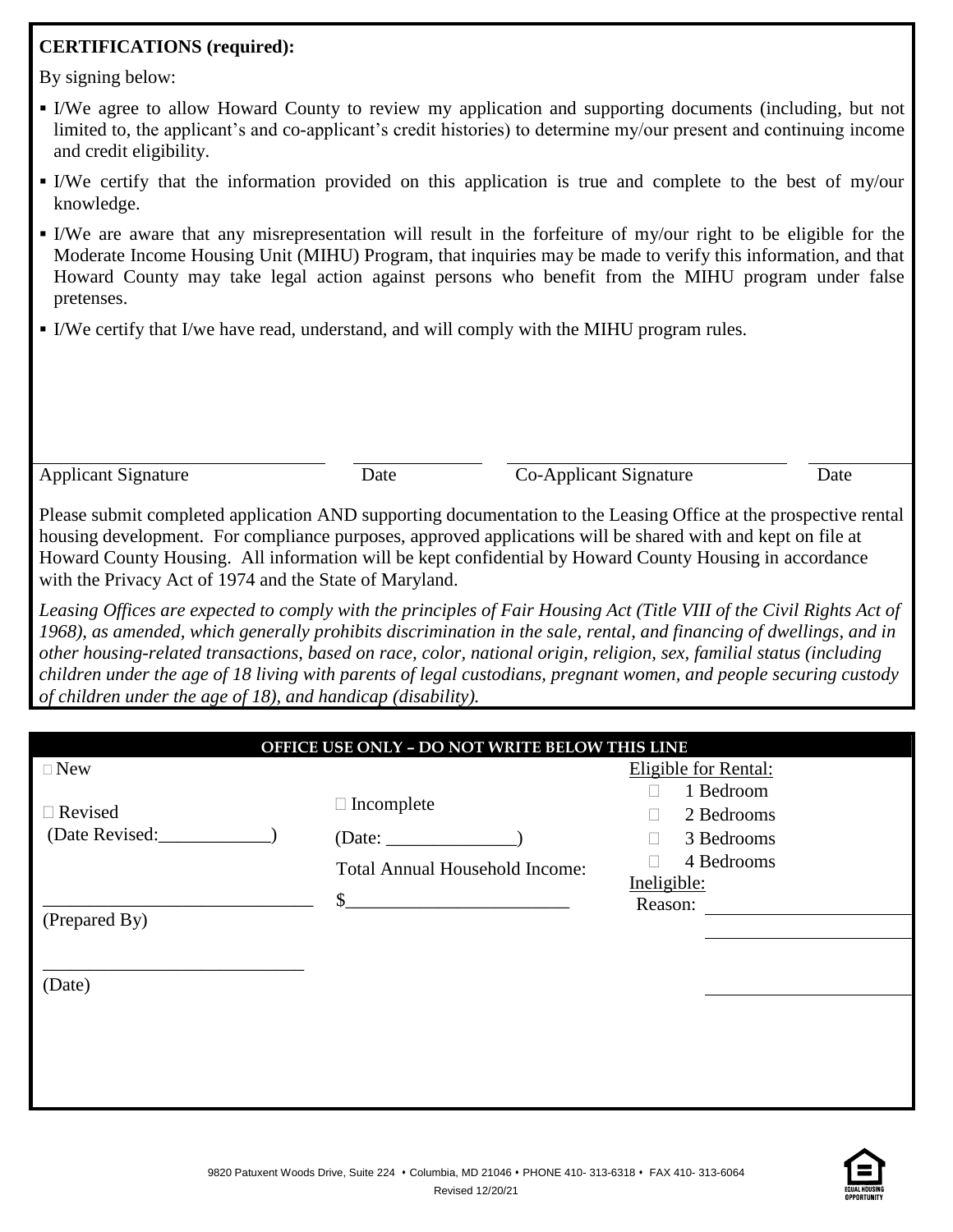# **CERTIFICATIONS (required):**

By signing below:

- I/We agree to allow Howard County to review my application and supporting documents (including, but not limited to, the applicant's and co-applicant's credit histories) to determine my/our present and continuing income and credit eligibility.
- I/We certify that the information provided on this application is true and complete to the best of my/our knowledge.
- I/We are aware that any misrepresentation will result in the forfeiture of my/our right to be eligible for the Moderate Income Housing Unit (MIHU) Program, that inquiries may be made to verify this information, and that Howard County may take legal action against persons who benefit from the MIHU program under false pretenses.
- I/We certify that I/we have read, understand, and will comply with the MIHU program rules.

Applicant Signature Date Co-Applicant Signature Date

Please submit completed application AND supporting documentation to the Leasing Office at the prospective rental housing development. For compliance purposes, approved applications will be shared with and kept on file at Howard County Housing. All information will be kept confidential by Howard County Housing in accordance with the Privacy Act of 1974 and the State of Maryland.

*Leasing Offices are expected to comply with the principles of Fair Housing Act (Title VIII of the Civil Rights Act of 1968), as amended, which generally prohibits discrimination in the sale, rental, and financing of dwellings, and in other housing-related transactions, based on race, color, national origin, religion, sex, familial status (including children under the age of 18 living with parents of legal custodians, pregnant women, and people securing custody of children under the age of 18), and handicap (disability).* 

|                                  | OFFICE USE ONLY - DO NOT WRITE BELOW THIS LINE                       |                                                     |
|----------------------------------|----------------------------------------------------------------------|-----------------------------------------------------|
| $\Box$ New                       |                                                                      | Eligible for Rental:                                |
| $\Box$ Revised<br>(Date Revised: | $\Box$ Incomplete<br>(Date:<br><b>Total Annual Household Income:</b> | 1 Bedroom<br>2 Bedrooms<br>3 Bedrooms<br>4 Bedrooms |
| (Prepared By)                    | $\mathcal{S}$                                                        | Ineligible:<br>Reason:                              |
| (Date)                           |                                                                      |                                                     |
|                                  |                                                                      |                                                     |